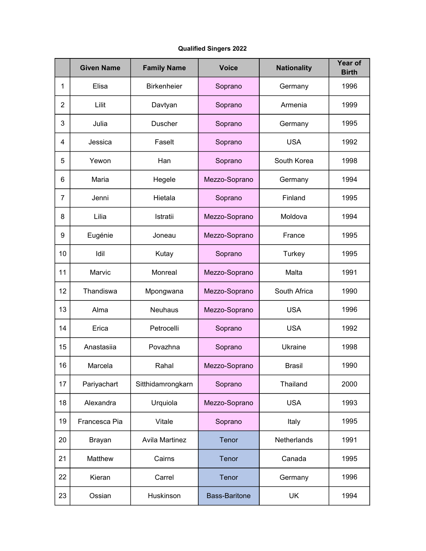## Qualified Singers 2022

|                | <b>Given Name</b> | <b>Family Name</b>    | <b>Voice</b>         | <b>Nationality</b> | <b>Year of</b><br><b>Birth</b> |
|----------------|-------------------|-----------------------|----------------------|--------------------|--------------------------------|
| 1              | Elisa             | <b>Birkenheier</b>    | Soprano              | Germany            | 1996                           |
| $\overline{2}$ | Lilit             | Davtyan               | Soprano              | Armenia            | 1999                           |
| 3              | Julia             | <b>Duscher</b>        | Soprano              | Germany            | 1995                           |
| 4              | Jessica           | Faselt                | Soprano              | <b>USA</b>         | 1992                           |
| 5              | Yewon             | Han                   | Soprano              | South Korea        | 1998                           |
| 6              | Maria             | Hegele                | Mezzo-Soprano        | Germany            | 1994                           |
| 7              | Jenni             | Hietala               | Soprano              | Finland            | 1995                           |
| 8              | Lilia             | Istratii              | Mezzo-Soprano        | Moldova            | 1994                           |
| 9              | Eugénie           | Joneau                | Mezzo-Soprano        | France             | 1995                           |
| 10             | Idil              | Kutay                 | Soprano              | Turkey             | 1995                           |
| 11             | Marvic            | Monreal               | Mezzo-Soprano        | Malta              | 1991                           |
| 12             | Thandiswa         | Mpongwana             | Mezzo-Soprano        | South Africa       | 1990                           |
| 13             | Alma              | <b>Neuhaus</b>        | Mezzo-Soprano        | <b>USA</b>         | 1996                           |
| 14             | Erica             | Petrocelli            | Soprano              | <b>USA</b>         | 1992                           |
| 15             | Anastasiia        | Povazhna              | Soprano              | Ukraine            | 1998                           |
| 16             | Marcela           | Rahal                 | Mezzo-Soprano        | <b>Brasil</b>      | 1990                           |
| 17             | Pariyachart       | Sitthidamrongkarn     | Soprano              | Thailand           | 2000                           |
| 18             | Alexandra         | Urquiola              | Mezzo-Soprano        | <b>USA</b>         | 1993                           |
| 19             | Francesca Pia     | Vitale                | Soprano              | Italy              | 1995                           |
| 20             | <b>Brayan</b>     | <b>Avila Martinez</b> | Tenor                | Netherlands        | 1991                           |
| 21             | Matthew           | Cairns                | Tenor                | Canada             | 1995                           |
| 22             | Kieran            | Carrel                | Tenor                | Germany            | 1996                           |
| 23             | Ossian            | Huskinson             | <b>Bass-Baritone</b> | <b>UK</b>          | 1994                           |